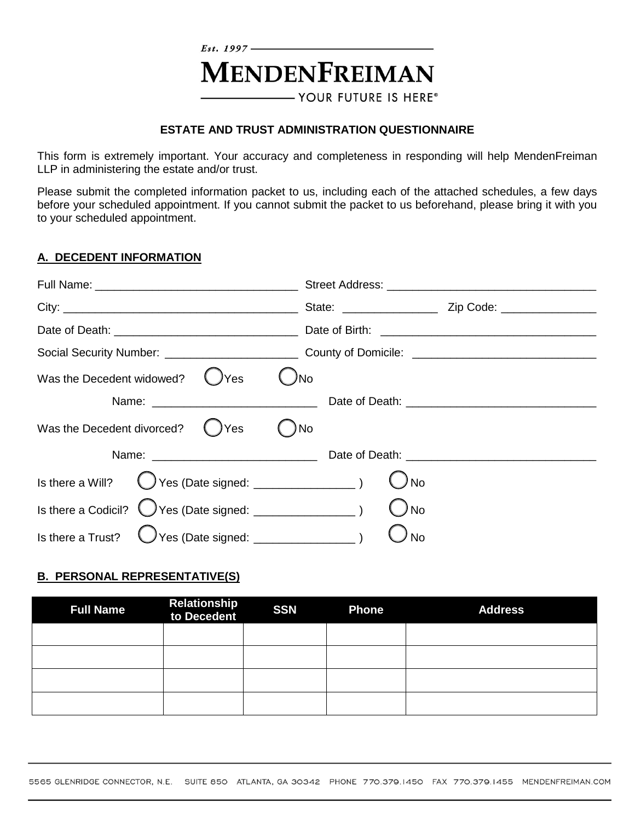# $E_{st.}$  1997 – **MENDENFREIMAN** - YOUR FUTURE IS HERE®

#### **ESTATE AND TRUST ADMINISTRATION QUESTIONNAIRE**

This form is extremely important. Your accuracy and completeness in responding will help MendenFreiman LLP in administering the estate and/or trust.

Please submit the completed information packet to us, including each of the attached schedules, a few days before your scheduled appointment. If you cannot submit the packet to us beforehand, please bring it with you to your scheduled appointment.

#### **A. DECEDENT INFORMATION**

|                                   | Social Security Number: ________________________________County of Domicile: __________________________________                                                                                                                 |
|-----------------------------------|--------------------------------------------------------------------------------------------------------------------------------------------------------------------------------------------------------------------------------|
| Was the Decedent widowed?<br>)Yes | JNo                                                                                                                                                                                                                            |
|                                   | Name: 2008. [2018] Date of Death: 2018. [2018] Date of Death: 2018. [2018] Date of Death: 2018. [2018] Date of Death: 2018. [2018] Date of Death: 2018. [2018] Date of Death: 2018. [2018] Date of Death: 2018. [2018] Date of |
| Was the Decedent divorced? () Yes | )No                                                                                                                                                                                                                            |
|                                   |                                                                                                                                                                                                                                |
|                                   | ) No                                                                                                                                                                                                                           |
|                                   | ) No                                                                                                                                                                                                                           |
| Is there a Trust?                 | <b>No</b>                                                                                                                                                                                                                      |

#### **B. PERSONAL REPRESENTATIVE(S)**

| <b>Full Name</b> | <b>Relationship<br/>to Decedent</b> | <b>SSN</b> | <b>Phone</b> | <b>Address</b> |
|------------------|-------------------------------------|------------|--------------|----------------|
|                  |                                     |            |              |                |
|                  |                                     |            |              |                |
|                  |                                     |            |              |                |
|                  |                                     |            |              |                |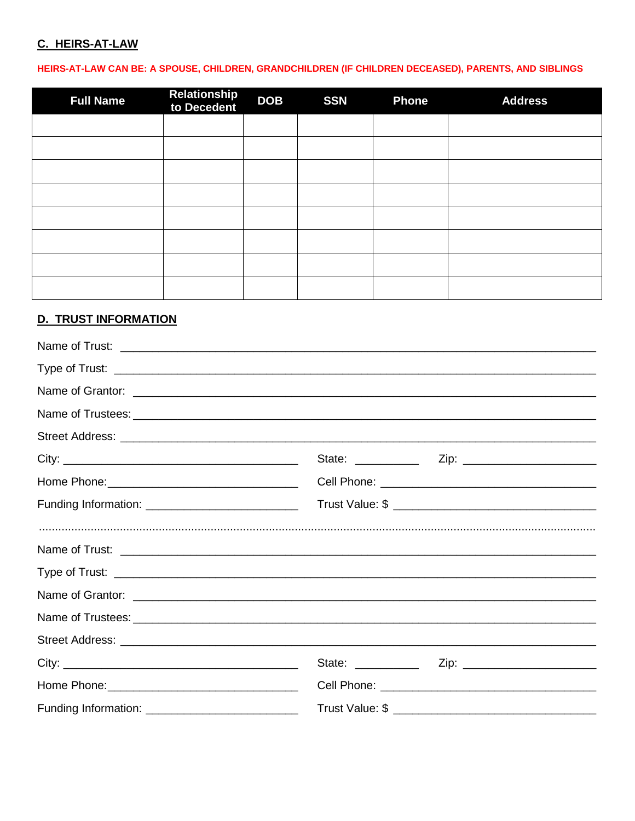# C. HEIRS-AT-LAW

## HEIRS-AT-LAW CAN BE: A SPOUSE, CHILDREN, GRANDCHILDREN (IF CHILDREN DECEASED), PARENTS, AND SIBLINGS

| <b>Full Name</b> | <b>Relationship<br/>to Decedent</b> | <b>DOB</b> | <b>SSN</b> | <b>Phone</b> | <b>Address</b> |
|------------------|-------------------------------------|------------|------------|--------------|----------------|
|                  |                                     |            |            |              |                |
|                  |                                     |            |            |              |                |
|                  |                                     |            |            |              |                |
|                  |                                     |            |            |              |                |
|                  |                                     |            |            |              |                |
|                  |                                     |            |            |              |                |
|                  |                                     |            |            |              |                |
|                  |                                     |            |            |              |                |

# **D. TRUST INFORMATION**

| Name of Trust: <u>example and contract and contract and contract and contract and contract and contract and contract and contract and contract and contract and contract and contract and contract and contract and contract and</u> |  |  |
|--------------------------------------------------------------------------------------------------------------------------------------------------------------------------------------------------------------------------------------|--|--|
|                                                                                                                                                                                                                                      |  |  |
|                                                                                                                                                                                                                                      |  |  |
|                                                                                                                                                                                                                                      |  |  |
|                                                                                                                                                                                                                                      |  |  |
|                                                                                                                                                                                                                                      |  |  |
|                                                                                                                                                                                                                                      |  |  |
|                                                                                                                                                                                                                                      |  |  |
|                                                                                                                                                                                                                                      |  |  |
|                                                                                                                                                                                                                                      |  |  |
|                                                                                                                                                                                                                                      |  |  |
|                                                                                                                                                                                                                                      |  |  |
|                                                                                                                                                                                                                                      |  |  |
|                                                                                                                                                                                                                                      |  |  |
|                                                                                                                                                                                                                                      |  |  |
|                                                                                                                                                                                                                                      |  |  |
|                                                                                                                                                                                                                                      |  |  |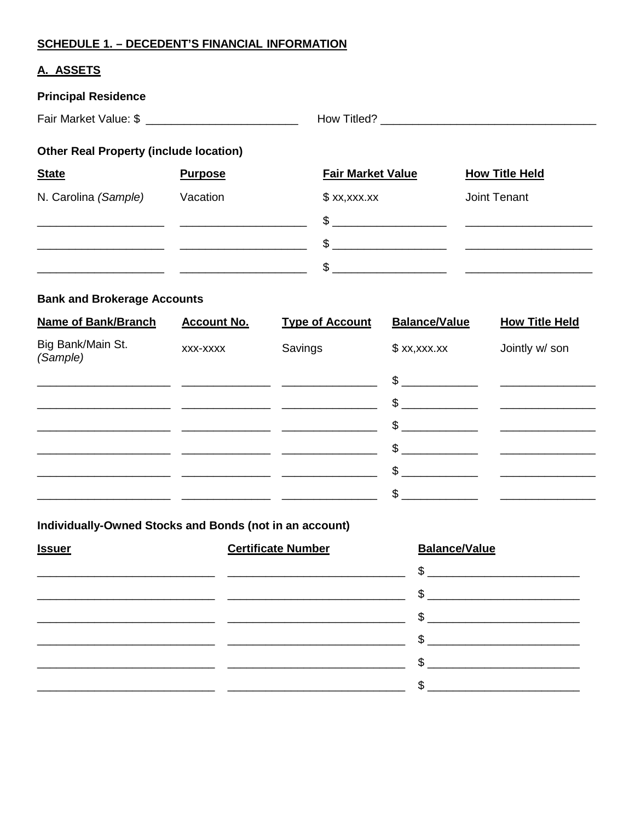## **SCHEDULE 1. - DECEDENT'S FINANCIAL INFORMATION**

## A. ASSETS

| <b>Principal Residence</b>                    |                |                          |                       |
|-----------------------------------------------|----------------|--------------------------|-----------------------|
|                                               |                |                          |                       |
| <b>Other Real Property (include location)</b> |                |                          |                       |
| <b>State</b>                                  | <b>Purpose</b> | <b>Fair Market Value</b> | <b>How Title Held</b> |
| N. Carolina (Sample)                          | Vacation       | x, x, x, x               | Joint Tenant          |
|                                               |                | $\mathfrak{S}$           |                       |
|                                               |                | $\frac{1}{2}$            |                       |
|                                               |                | $\frac{1}{2}$            |                       |

# **Bank and Brokerage Accounts**

| <b>Name of Bank/Branch</b>    | <b>Account No.</b> | <b>Type of Account</b> | <b>Balance/Value</b> | <b>How Title Held</b> |
|-------------------------------|--------------------|------------------------|----------------------|-----------------------|
| Big Bank/Main St.<br>(Sample) | XXX-XXXX           | Savings                | x, x, x, x           | Jointly w/ son        |
|                               |                    |                        | $\sim$               |                       |
|                               |                    |                        | $\frac{1}{2}$        |                       |
|                               |                    |                        | $\sim$               |                       |
|                               |                    |                        | $\frac{1}{2}$        |                       |
|                               |                    |                        | $\mathbb{S}$         |                       |
|                               |                    |                        | \$                   |                       |

Individually-Owned Stocks and Bonds (not in an account)

| <b>Issuer</b> | <b>Certificate Number</b> | <b>Balance/Value</b>                                                                                                                                                                                                                                                                                                |
|---------------|---------------------------|---------------------------------------------------------------------------------------------------------------------------------------------------------------------------------------------------------------------------------------------------------------------------------------------------------------------|
|               |                           | $\sim$                                                                                                                                                                                                                                                                                                              |
|               |                           |                                                                                                                                                                                                                                                                                                                     |
|               |                           | $\frac{1}{2}$ $\frac{1}{2}$ $\frac{1}{2}$ $\frac{1}{2}$ $\frac{1}{2}$ $\frac{1}{2}$ $\frac{1}{2}$ $\frac{1}{2}$ $\frac{1}{2}$ $\frac{1}{2}$ $\frac{1}{2}$ $\frac{1}{2}$ $\frac{1}{2}$ $\frac{1}{2}$ $\frac{1}{2}$ $\frac{1}{2}$ $\frac{1}{2}$ $\frac{1}{2}$ $\frac{1}{2}$ $\frac{1}{2}$ $\frac{1}{2}$ $\frac{1}{2}$ |
|               |                           | $\mathbb{S}$                                                                                                                                                                                                                                                                                                        |
|               |                           | $\sim$                                                                                                                                                                                                                                                                                                              |
|               |                           | $\mathbb{S}$                                                                                                                                                                                                                                                                                                        |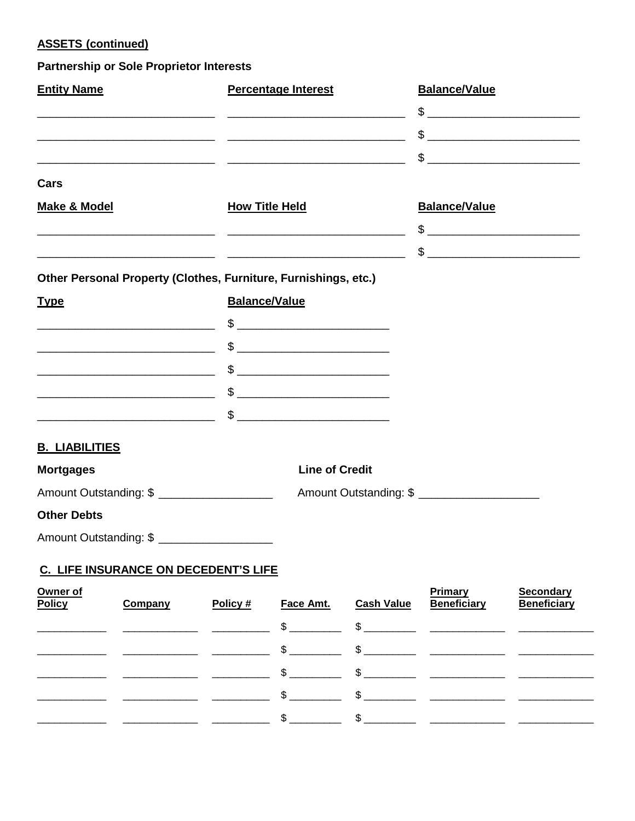## **ASSETS (continued)**

#### **Partnership or Sole Proprietor Interests**

| <b>Entity Name</b>                                                                                                    |                                                                                                                      |                      | <b>Percentage Interest</b>                                                                                                                                                                                                                                                                                          |                        | <b>Balance/Value</b>                                                                                                                                                                                                                                                                                                |                                        |
|-----------------------------------------------------------------------------------------------------------------------|----------------------------------------------------------------------------------------------------------------------|----------------------|---------------------------------------------------------------------------------------------------------------------------------------------------------------------------------------------------------------------------------------------------------------------------------------------------------------------|------------------------|---------------------------------------------------------------------------------------------------------------------------------------------------------------------------------------------------------------------------------------------------------------------------------------------------------------------|----------------------------------------|
|                                                                                                                       |                                                                                                                      |                      |                                                                                                                                                                                                                                                                                                                     |                        | $\frac{1}{2}$                                                                                                                                                                                                                                                                                                       |                                        |
|                                                                                                                       |                                                                                                                      |                      |                                                                                                                                                                                                                                                                                                                     |                        |                                                                                                                                                                                                                                                                                                                     |                                        |
|                                                                                                                       | <u> 2000 - Andrea San Andrea San Andrea San Andrea San Andrea San Andrea San Andrea San Andrea San Andrea San An</u> |                      |                                                                                                                                                                                                                                                                                                                     |                        | $\frac{1}{2}$ $\frac{1}{2}$ $\frac{1}{2}$ $\frac{1}{2}$ $\frac{1}{2}$ $\frac{1}{2}$ $\frac{1}{2}$ $\frac{1}{2}$ $\frac{1}{2}$ $\frac{1}{2}$ $\frac{1}{2}$ $\frac{1}{2}$ $\frac{1}{2}$ $\frac{1}{2}$ $\frac{1}{2}$ $\frac{1}{2}$ $\frac{1}{2}$ $\frac{1}{2}$ $\frac{1}{2}$ $\frac{1}{2}$ $\frac{1}{2}$ $\frac{1}{2}$ |                                        |
| Cars                                                                                                                  |                                                                                                                      |                      |                                                                                                                                                                                                                                                                                                                     |                        |                                                                                                                                                                                                                                                                                                                     |                                        |
| <b>Make &amp; Model</b>                                                                                               |                                                                                                                      |                      | <b>How Title Held</b>                                                                                                                                                                                                                                                                                               |                        | <b>Balance/Value</b>                                                                                                                                                                                                                                                                                                |                                        |
|                                                                                                                       |                                                                                                                      |                      |                                                                                                                                                                                                                                                                                                                     |                        |                                                                                                                                                                                                                                                                                                                     |                                        |
|                                                                                                                       |                                                                                                                      |                      |                                                                                                                                                                                                                                                                                                                     |                        | $\frac{1}{2}$                                                                                                                                                                                                                                                                                                       |                                        |
| Other Personal Property (Clothes, Furniture, Furnishings, etc.)                                                       |                                                                                                                      |                      |                                                                                                                                                                                                                                                                                                                     |                        |                                                                                                                                                                                                                                                                                                                     |                                        |
| <b>Type</b>                                                                                                           |                                                                                                                      | <b>Balance/Value</b> |                                                                                                                                                                                                                                                                                                                     |                        |                                                                                                                                                                                                                                                                                                                     |                                        |
| <u> 2000 - Andrea Andrew Maria (h. 1878).</u>                                                                         |                                                                                                                      |                      | $\frac{1}{2}$                                                                                                                                                                                                                                                                                                       |                        |                                                                                                                                                                                                                                                                                                                     |                                        |
|                                                                                                                       |                                                                                                                      |                      | $\frac{1}{2}$ $\frac{1}{2}$ $\frac{1}{2}$ $\frac{1}{2}$ $\frac{1}{2}$ $\frac{1}{2}$ $\frac{1}{2}$ $\frac{1}{2}$ $\frac{1}{2}$ $\frac{1}{2}$ $\frac{1}{2}$ $\frac{1}{2}$ $\frac{1}{2}$ $\frac{1}{2}$ $\frac{1}{2}$ $\frac{1}{2}$ $\frac{1}{2}$ $\frac{1}{2}$ $\frac{1}{2}$ $\frac{1}{2}$ $\frac{1}{2}$ $\frac{1}{2}$ |                        |                                                                                                                                                                                                                                                                                                                     |                                        |
|                                                                                                                       |                                                                                                                      |                      | $\frac{1}{2}$ $\frac{1}{2}$ $\frac{1}{2}$ $\frac{1}{2}$ $\frac{1}{2}$ $\frac{1}{2}$ $\frac{1}{2}$ $\frac{1}{2}$ $\frac{1}{2}$ $\frac{1}{2}$ $\frac{1}{2}$ $\frac{1}{2}$ $\frac{1}{2}$ $\frac{1}{2}$ $\frac{1}{2}$ $\frac{1}{2}$ $\frac{1}{2}$ $\frac{1}{2}$ $\frac{1}{2}$ $\frac{1}{2}$ $\frac{1}{2}$ $\frac{1}{2}$ |                        |                                                                                                                                                                                                                                                                                                                     |                                        |
| <u> 1989 - Johann Harry Harry Harry Harry Harry Harry Harry Harry Harry Harry Harry Harry Harry Harry Harry Harry</u> |                                                                                                                      |                      | $\frac{1}{2}$ $\frac{1}{2}$ $\frac{1}{2}$ $\frac{1}{2}$ $\frac{1}{2}$ $\frac{1}{2}$ $\frac{1}{2}$ $\frac{1}{2}$ $\frac{1}{2}$ $\frac{1}{2}$ $\frac{1}{2}$ $\frac{1}{2}$ $\frac{1}{2}$ $\frac{1}{2}$ $\frac{1}{2}$ $\frac{1}{2}$ $\frac{1}{2}$ $\frac{1}{2}$ $\frac{1}{2}$ $\frac{1}{2}$ $\frac{1}{2}$ $\frac{1}{2}$ |                        |                                                                                                                                                                                                                                                                                                                     |                                        |
|                                                                                                                       |                                                                                                                      |                      | $\qquad \qquad \mathsf{S} \qquad \qquad \qquad \qquad \mathsf{S}$                                                                                                                                                                                                                                                   |                        |                                                                                                                                                                                                                                                                                                                     |                                        |
| <b>B. LIABILITIES</b>                                                                                                 |                                                                                                                      |                      |                                                                                                                                                                                                                                                                                                                     |                        |                                                                                                                                                                                                                                                                                                                     |                                        |
| <b>Mortgages</b>                                                                                                      |                                                                                                                      |                      | <b>Line of Credit</b>                                                                                                                                                                                                                                                                                               |                        |                                                                                                                                                                                                                                                                                                                     |                                        |
| Amount Outstanding: \$                                                                                                |                                                                                                                      |                      |                                                                                                                                                                                                                                                                                                                     |                        | Amount Outstanding: \$                                                                                                                                                                                                                                                                                              |                                        |
| <b>Other Debts</b>                                                                                                    |                                                                                                                      |                      |                                                                                                                                                                                                                                                                                                                     |                        |                                                                                                                                                                                                                                                                                                                     |                                        |
| Amount Outstanding: \$                                                                                                |                                                                                                                      |                      |                                                                                                                                                                                                                                                                                                                     |                        |                                                                                                                                                                                                                                                                                                                     |                                        |
|                                                                                                                       | C. LIFE INSURANCE ON DECEDENT'S LIFE                                                                                 |                      |                                                                                                                                                                                                                                                                                                                     |                        |                                                                                                                                                                                                                                                                                                                     |                                        |
| Owner of<br><b>Policy</b>                                                                                             | Company                                                                                                              | Policy #             | Face Amt.<br>¢                                                                                                                                                                                                                                                                                                      | <b>Cash Value</b><br>¢ | <b>Primary</b><br><b>Beneficiary</b>                                                                                                                                                                                                                                                                                | <b>Secondary</b><br><b>Beneficiary</b> |